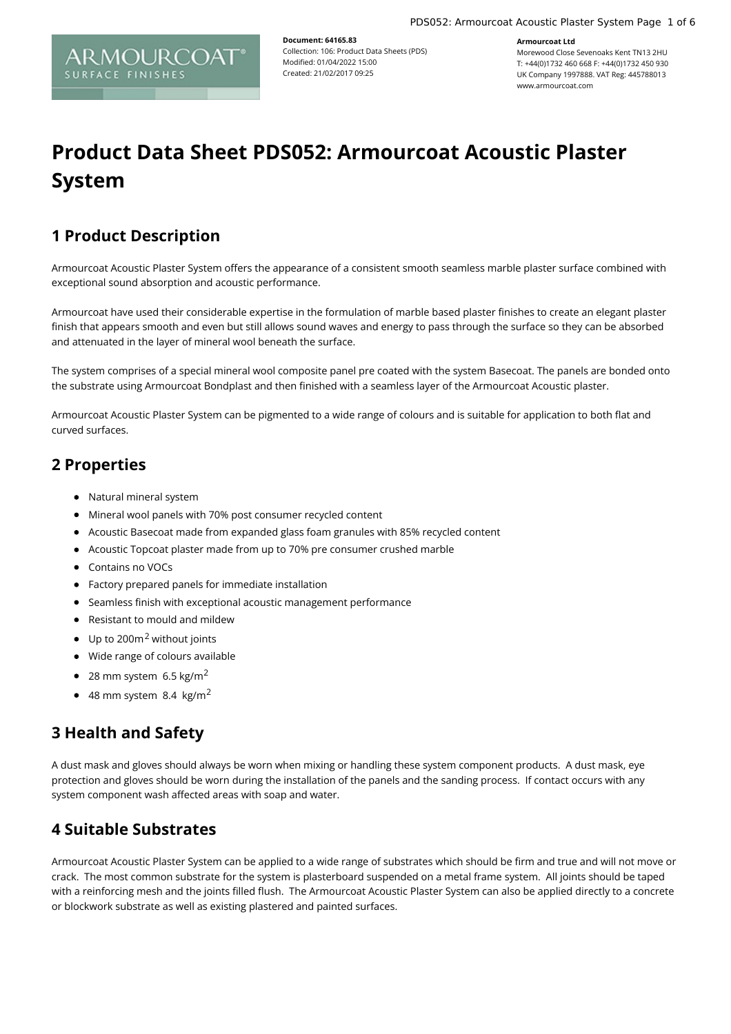**Armourcoat Ltd**



**Document: 64165.83** Collection: 106: Product Data Sheets (PDS) Modified: 01/04/2022 15:00 Created: 21/02/2017 09:25

Morewood Close Sevenoaks Kent TN13 2HU T: +44(0)1732 460 668 F: +44(0)1732 450 930 UK Company 1997888. VAT Reg: 445788013 www.armourcoat.com

# **Product Data Sheet PDS052: Armourcoat Acoustic Plaster System**

# **1 Product Description**

Armourcoat Acoustic Plaster System offers the appearance of a consistent smooth seamless marble plaster surface combined with exceptional sound absorption and acoustic performance.

Armourcoat have used their considerable expertise in the formulation of marble based plaster finishes to create an elegant plaster finish that appears smooth and even but still allows sound waves and energy to pass through the surface so they can be absorbed and attenuated in the layer of mineral wool beneath the surface.

The system comprises of a special mineral wool composite panel pre coated with the system Basecoat. The panels are bonded onto the substrate using Armourcoat Bondplast and then finished with a seamless layer of the Armourcoat Acoustic plaster.

Armourcoat Acoustic Plaster System can be pigmented to a wide range of colours and is suitable for application to both flat and curved surfaces.

# **2 Properties**

- Natural mineral system
- Mineral wool panels with 70% post consumer recycled content
- Acoustic Basecoat made from expanded glass foam granules with 85% recycled content
- Acoustic Topcoat plaster made from up to 70% pre consumer crushed marble
- Contains no VOCs
- Factory prepared panels for immediate installation
- Seamless finish with exceptional acoustic management performance
- Resistant to mould and mildew
- $\bullet$  Up to 200m<sup>2</sup> without joints
- Wide range of colours available
- $\bullet$  28 mm system 6.5 kg/m<sup>2</sup>
- $\bullet$  48 mm system 8.4 kg/m<sup>2</sup>

# **3 Health and Safety**

A dust mask and gloves should always be worn when mixing or handling these system component products. A dust mask, eye protection and gloves should be worn during the installation of the panels and the sanding process. If contact occurs with any system component wash affected areas with soap and water.

# **4 Suitable Substrates**

Armourcoat Acoustic Plaster System can be applied to a wide range of substrates which should be firm and true and will not move or crack. The most common substrate for the system is plasterboard suspended on a metal frame system. All joints should be taped with a reinforcing mesh and the joints filled flush. The Armourcoat Acoustic Plaster System can also be applied directly to a concrete or blockwork substrate as well as existing plastered and painted surfaces.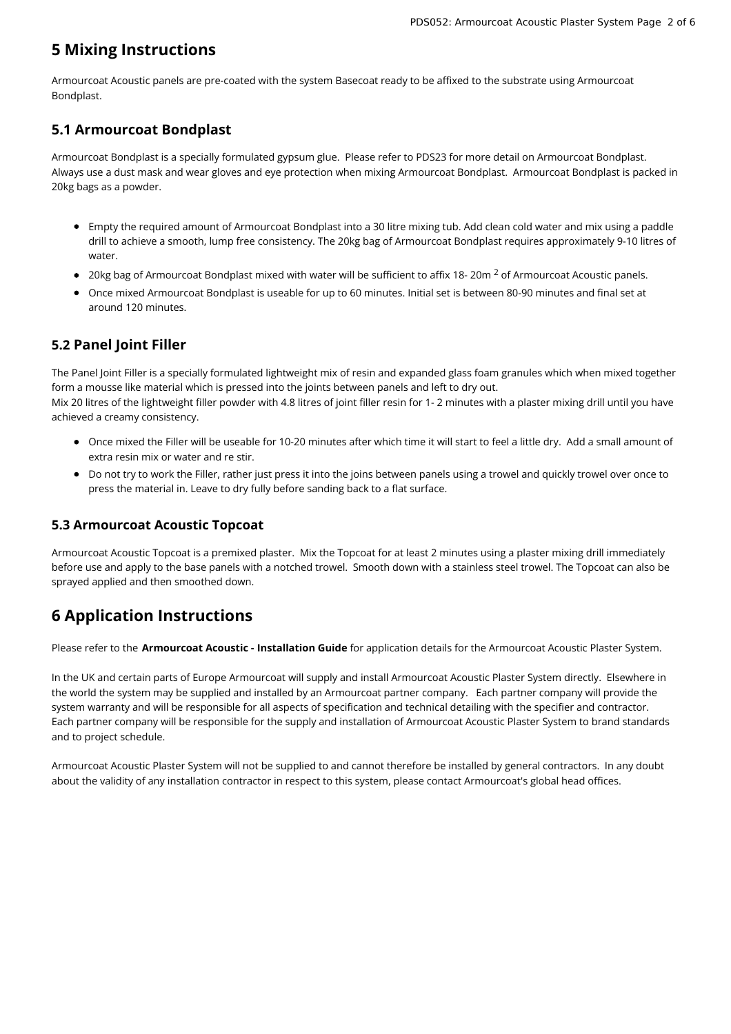# **5 Mixing Instructions**

Armourcoat Acoustic panels are pre-coated with the system Basecoat ready to be affixed to the substrate using Armourcoat Bondplast.

### **5.1 Armourcoat Bondplast**

Armourcoat Bondplast is a specially formulated gypsum glue. Please refer to PDS23 for more detail on Armourcoat Bondplast. Always use a dust mask and wear gloves and eye protection when mixing Armourcoat Bondplast. Armourcoat Bondplast is packed in 20kg bags as a powder.

- Empty the required amount of Armourcoat Bondplast into a 30 litre mixing tub. Add clean cold water and mix using a paddle drill to achieve a smooth, lump free consistency. The 20kg bag of Armourcoat Bondplast requires approximately 9-10 litres of water.
- 20kg bag of Armourcoat Bondplast mixed with water will be sufficient to affix 18- 20m  $^2$  of Armourcoat Acoustic panels.
- Once mixed Armourcoat Bondplast is useable for up to 60 minutes. Initial set is between 80-90 minutes and final set at around 120 minutes.

### **5.2 Panel Joint Filler**

The Panel Joint Filler is a specially formulated lightweight mix of resin and expanded glass foam granules which when mixed together form a mousse like material which is pressed into the joints between panels and left to dry out. Mix 20 litres of the lightweight filler powder with 4.8 litres of joint filler resin for 1- 2 minutes with a plaster mixing drill until you have achieved a creamy consistency.

- Once mixed the Filler will be useable for 10-20 minutes after which time it will start to feel a little dry. Add a small amount of extra resin mix or water and re stir.
- Do not try to work the Filler, rather just press it into the joins between panels using a trowel and quickly trowel over once to press the material in. Leave to dry fully before sanding back to a flat surface.

#### **5.3 Armourcoat Acoustic Topcoat**

Armourcoat Acoustic Topcoat is a premixed plaster. Mix the Topcoat for at least 2 minutes using a plaster mixing drill immediately before use and apply to the base panels with a notched trowel. Smooth down with a stainless steel trowel. The Topcoat can also be sprayed applied and then smoothed down.

# **6 Application Instructions**

Please refer to the **Armourcoat Acoustic - Installation Guide** for application details for the Armourcoat Acoustic Plaster System.

In the UK and certain parts of Europe Armourcoat will supply and install Armourcoat Acoustic Plaster System directly. Elsewhere in the world the system may be supplied and installed by an Armourcoat partner company. Each partner company will provide the system warranty and will be responsible for all aspects of specification and technical detailing with the specifier and contractor. Each partner company will be responsible for the supply and installation of Armourcoat Acoustic Plaster System to brand standards and to project schedule.

Armourcoat Acoustic Plaster System will not be supplied to and cannot therefore be installed by general contractors. In any doubt about the validity of any installation contractor in respect to this system, please contact Armourcoat's global head offices.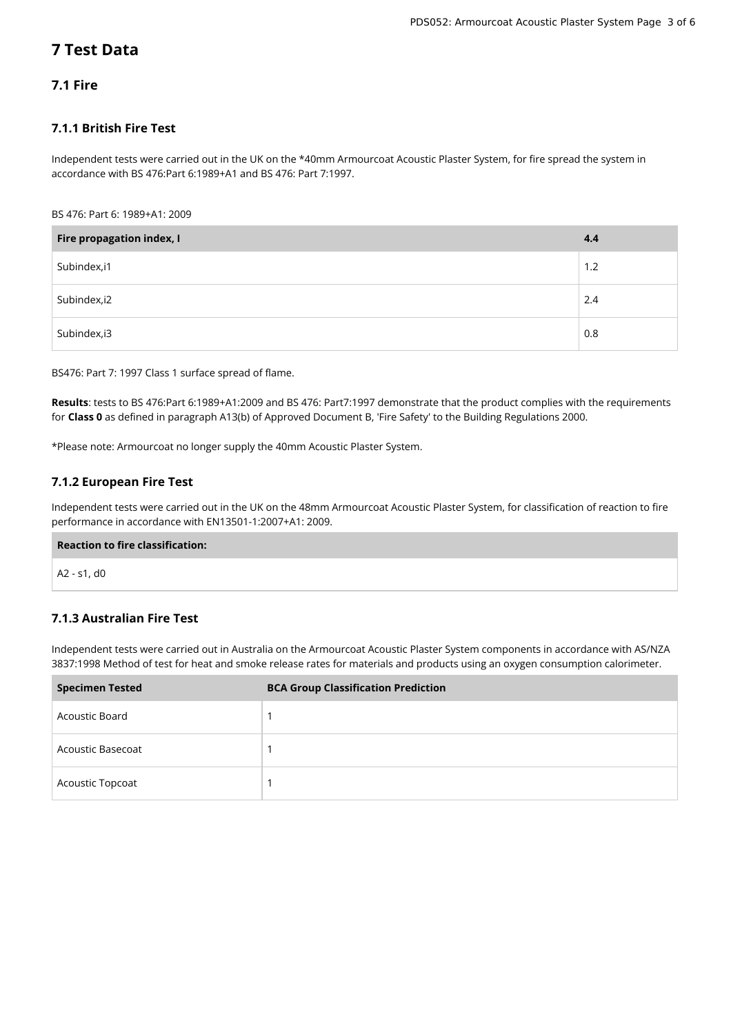# **7 Test Data**

#### **7.1 Fire**

#### **7.1.1 British Fire Test**

Independent tests were carried out in the UK on the \*40mm Armourcoat Acoustic Plaster System, for fire spread the system in accordance with BS 476:Part 6:1989+A1 and BS 476: Part 7:1997.

#### BS 476: Part 6: 1989+A1: 2009

| Fire propagation index, I | 4.4 |
|---------------------------|-----|
| Subindex, i1              | 1.2 |
| Subindex, i2              | 2.4 |
| Subindex, i3              | 0.8 |

BS476: Part 7: 1997 Class 1 surface spread of flame.

**Results**: tests to BS 476:Part 6:1989+A1:2009 and BS 476: Part7:1997 demonstrate that the product complies with the requirements for **Class 0** as defined in paragraph A13(b) of Approved Document B, 'Fire Safety' to the Building Regulations 2000.

\*Please note: Armourcoat no longer supply the 40mm Acoustic Plaster System.

#### **7.1.2 European Fire Test**

Independent tests were carried out in the UK on the 48mm Armourcoat Acoustic Plaster System, for classification of reaction to fire performance in accordance with EN13501-1:2007+A1: 2009.

## **Reaction to fire classification:**

A2 - s1, d0

#### **7.1.3 Australian Fire Test**

Independent tests were carried out in Australia on the Armourcoat Acoustic Plaster System components in accordance with AS/NZA 3837:1998 Method of test for heat and smoke release rates for materials and products using an oxygen consumption calorimeter.

| <b>Specimen Tested</b> | <b>BCA Group Classification Prediction</b> |
|------------------------|--------------------------------------------|
| Acoustic Board         |                                            |
| Acoustic Basecoat      |                                            |
| Acoustic Topcoat       |                                            |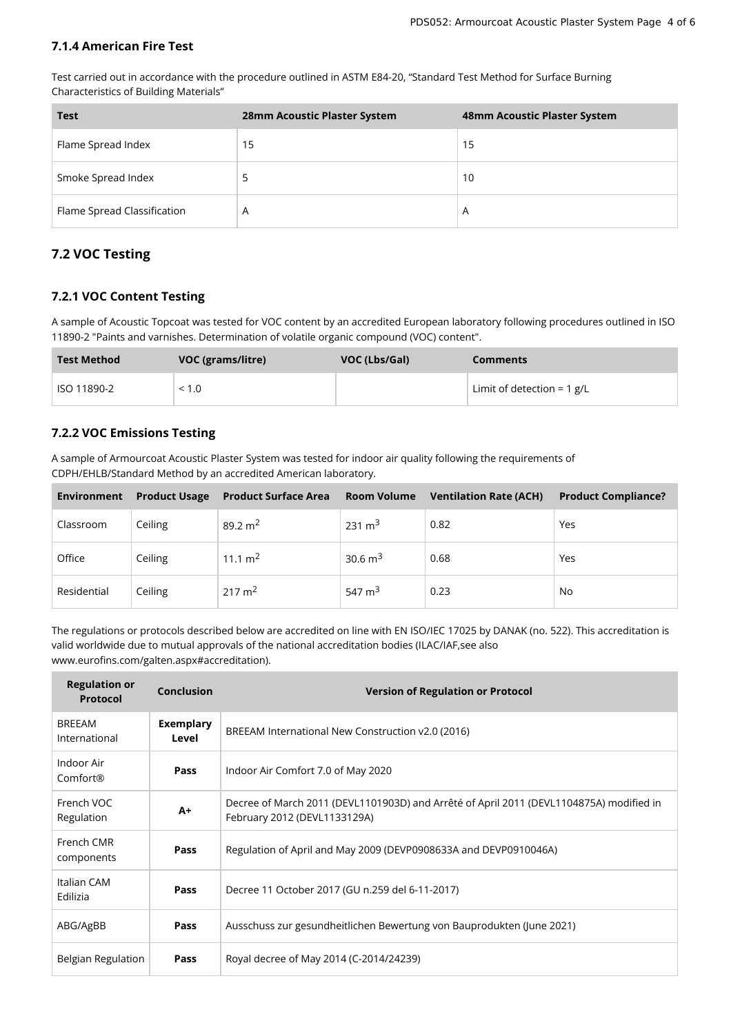#### **7.1.4 American Fire Test**

Test carried out in accordance with the procedure outlined in ASTM E84-20, "Standard Test Method for Surface Burning Characteristics of Building Materials"

| <b>Test</b>                 | 28mm Acoustic Plaster System | 48mm Acoustic Plaster System |
|-----------------------------|------------------------------|------------------------------|
| Flame Spread Index          | 15                           | 15                           |
| Smoke Spread Index          |                              | 10                           |
| Flame Spread Classification | A                            | A                            |

#### **7.2 VOC Testing**

#### **7.2.1 VOC Content Testing**

A sample of Acoustic Topcoat was tested for VOC content by an accredited European laboratory following procedures outlined in ISO 11890-2 "Paints and varnishes. Determination of volatile organic compound (VOC) content".

| <b>Test Method</b> | VOC (grams/litre) | VOC (Lbs/Gal) | <b>Comments</b>              |
|--------------------|-------------------|---------------|------------------------------|
| ISO 11890-2        | < 1.0             |               | Limit of detection = $1$ g/L |

#### **7.2.2 VOC Emissions Testing**

A sample of Armourcoat Acoustic Plaster System was tested for indoor air quality following the requirements of CDPH/EHLB/Standard Method by an accredited American laboratory.

| <b>Environment</b> | <b>Product Usage</b> | <b>Product Surface Area</b> Room Volume |                    | <b>Ventilation Rate (ACH)</b> | <b>Product Compliance?</b> |
|--------------------|----------------------|-----------------------------------------|--------------------|-------------------------------|----------------------------|
| Classroom          | Ceiling              | 89.2 m <sup>2</sup>                     | 231 m <sup>3</sup> | 0.82                          | Yes                        |
| Office             | Ceiling              | 11.1 m <sup>2</sup>                     | 30.6 $m3$          | 0.68                          | Yes                        |
| Residential        | Ceiling              | $217 \text{ m}^2$                       | 547 $m3$           | 0.23                          | No                         |

The regulations or protocols described below are accredited on line with EN ISO/IEC 17025 by DANAK (no. 522). This accreditation is valid worldwide due to mutual approvals of the national accreditation bodies (ILAC/IAF,see also www.eurofins.com/galten.aspx#accreditation).

| <b>Regulation or</b><br><b>Protocol</b> | <b>Conclusion</b>         | <b>Version of Regulation or Protocol</b>                                                                                |  |  |
|-----------------------------------------|---------------------------|-------------------------------------------------------------------------------------------------------------------------|--|--|
| <b>BREEAM</b><br>International          | <b>Exemplary</b><br>Level | BREEAM International New Construction v2.0 (2016)                                                                       |  |  |
| Indoor Air<br>Comfort®                  | Pass                      | Indoor Air Comfort 7.0 of May 2020                                                                                      |  |  |
| French VOC<br>Regulation                | $A+$                      | Decree of March 2011 (DEVL1101903D) and Arrêté of April 2011 (DEVL1104875A) modified in<br>February 2012 (DEVL1133129A) |  |  |
| French CMR<br>components                | Pass                      | Regulation of April and May 2009 (DEVP0908633A and DEVP0910046A)                                                        |  |  |
| Italian CAM<br>Edilizia                 | Pass                      | Decree 11 October 2017 (GU n.259 del 6-11-2017)                                                                         |  |  |
| ABG/AgBB                                | Pass                      | Ausschuss zur gesundheitlichen Bewertung von Bauprodukten (June 2021)                                                   |  |  |
| Belgian Regulation                      | Pass                      | Royal decree of May 2014 (C-2014/24239)                                                                                 |  |  |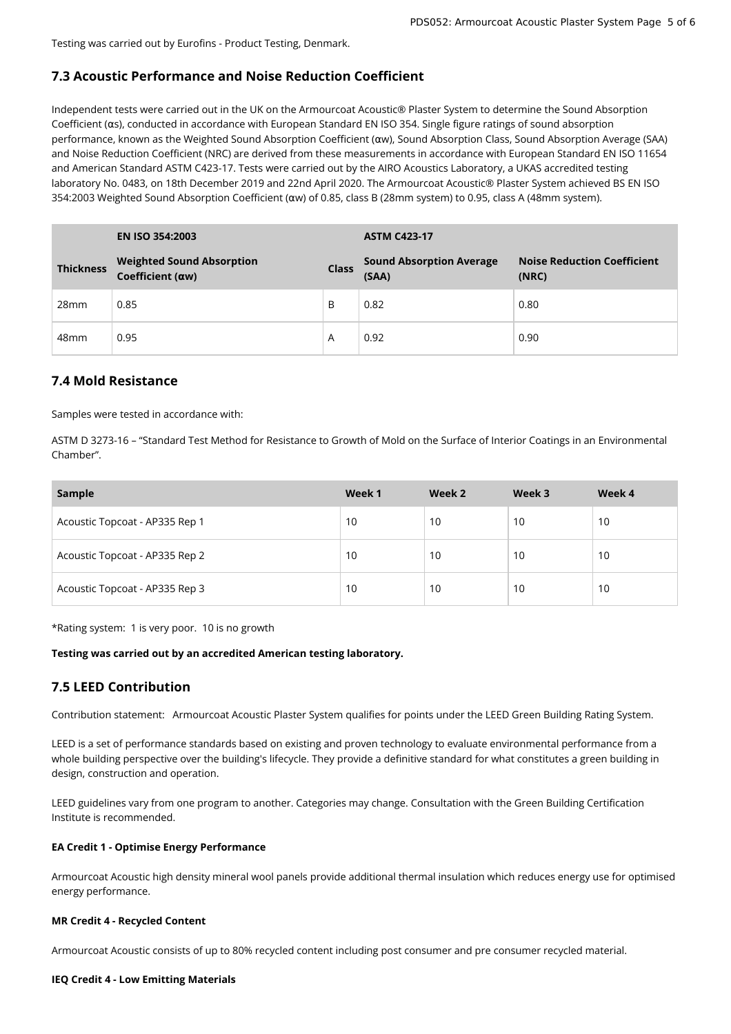Testing was carried out by Eurofins - Product Testing, Denmark.

#### **7.3 Acoustic Performance and Noise Reduction Coefficient**

Independent tests were carried out in the UK on the Armourcoat Acoustic® Plaster System to determine the Sound Absorption Coefficient (αs), conducted in accordance with European Standard EN ISO 354. Single figure ratings of sound absorption performance, known as the Weighted Sound Absorption Coefficient (αw), Sound Absorption Class, Sound Absorption Average (SAA) and Noise Reduction Coefficient (NRC) are derived from these measurements in accordance with European Standard EN ISO 11654 and American Standard ASTM C423-17. Tests were carried out by the AIRO Acoustics Laboratory, a UKAS accredited testing laboratory No. 0483, on 18th December 2019 and 22nd April 2020. The Armourcoat Acoustic® Plaster System achieved BS EN ISO 354:2003 Weighted Sound Absorption Coefficient (αw) of 0.85, class B (28mm system) to 0.95, class A (48mm system).

|                  | <b>EN ISO 354:2003</b>                               |              | <b>ASTM C423-17</b>                      |                                             |  |
|------------------|------------------------------------------------------|--------------|------------------------------------------|---------------------------------------------|--|
| <b>Thickness</b> | <b>Weighted Sound Absorption</b><br>Coefficient (aw) | <b>Class</b> | <b>Sound Absorption Average</b><br>(SAA) | <b>Noise Reduction Coefficient</b><br>(NRC) |  |
| 28 <sub>mm</sub> | 0.85                                                 | B            | 0.82                                     | 0.80                                        |  |
| 48 <sub>mm</sub> | 0.95                                                 | A            | 0.92                                     | 0.90                                        |  |

#### **7.4 Mold Resistance**

Samples were tested in accordance with:

ASTM D 3273-16 – "Standard Test Method for Resistance to Growth of Mold on the Surface of Interior Coatings in an Environmental Chamber".

| Sample                         | Week 1 | Week 2 | Week 3 | Week 4 |
|--------------------------------|--------|--------|--------|--------|
| Acoustic Topcoat - AP335 Rep 1 | 10     | 10     | 10     | 10     |
| Acoustic Topcoat - AP335 Rep 2 | 10     | 10     | 10     | 10     |
| Acoustic Topcoat - AP335 Rep 3 | 10     | 10     | 10     | 10     |

\*Rating system: 1 is very poor. 10 is no growth

#### **Testing was carried out by an accredited American testing laboratory.**

#### **7.5 LEED Contribution**

Contribution statement: Armourcoat Acoustic Plaster System qualifies for points under the LEED Green Building Rating System.

LEED is a set of performance standards based on existing and proven technology to evaluate environmental performance from a whole building perspective over the building's lifecycle. They provide a definitive standard for what constitutes a green building in design, construction and operation.

LEED guidelines vary from one program to another. Categories may change. Consultation with the Green Building Certification Institute is recommended.

#### **EA Credit 1 - Optimise Energy Performance**

Armourcoat Acoustic high density mineral wool panels provide additional thermal insulation which reduces energy use for optimised energy performance.

#### **MR Credit 4 - Recycled Content**

Armourcoat Acoustic consists of up to 80% recycled content including post consumer and pre consumer recycled material.

#### **IEQ Credit 4 - Low Emitting Materials**